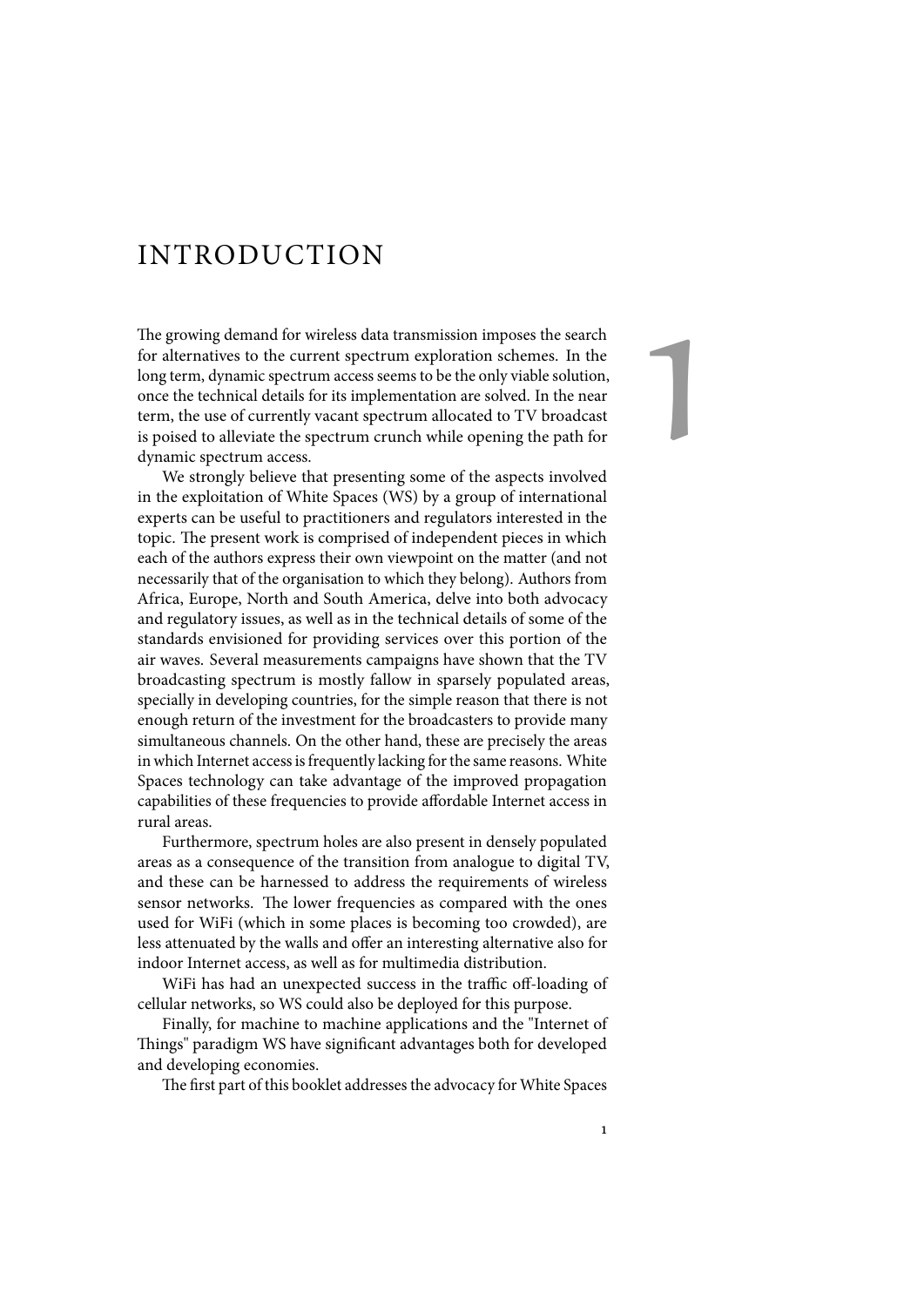## INTRODUCTION

The growing demand for wireless data transmission imposes the search for alternatives to the current spectrum exploration schemes. In the long term, dynamic spectrum access seems to be the only viable solution, once the technical details for its implementation are solved. In the near term, the use of currently vacant spectrum allocated to TV broadcast is poised to alleviate the spectrum crunch while opening the path for dynamic spectrum access.

We strongly believe that presenting some of the aspects involved in the exploitation of White Spaces (WS) by a group of international experts can be useful to practitioners and regulators interested in the topic. The present work is comprised of independent pieces in which each of the authors express their own viewpoint on the matter (and not necessarily that of the organisation to which they belong). Authors from Africa, Europe, North and South America, delve into both advocacy and regulatory issues, as well as in the technical details of some of the standards envisioned for providing services over this portion of the air waves. Several measurements campaigns have shown that the TV broadcasting spectrum is mostly fallow in sparsely populated areas, specially in developing countries, for the simple reason that there is not enough return of the investment for the broadcasters to provide many simultaneous channels. On the other hand, these are precisely the areas in which Internet access is frequently lacking for the same reasons. White Spaces technology can take advantage of the improved propagation capabilities of these frequencies to provide affordable Internet access in rural areas.

Furthermore, spectrum holes are also present in densely populated areas as a consequence of the transition from analogue to digital TV, and these can be harnessed to address the requirements of wireless sensor networks. The lower frequencies as compared with the ones used for WiFi (which in some places is becoming too crowded), are less attenuated by the walls and offer an interesting alternative also for indoor Internet access, as well as for multimedia distribution.

WiFi has had an unexpected success in the traffic off-loading of cellular networks, so WS could also be deployed for this purpose.

Finally, for machine to machine applications and the "Internet of Things" paradigm WS have significant advantages both for developed and developing economies.

The first part of this booklet addresses the advocacy for White Spaces

1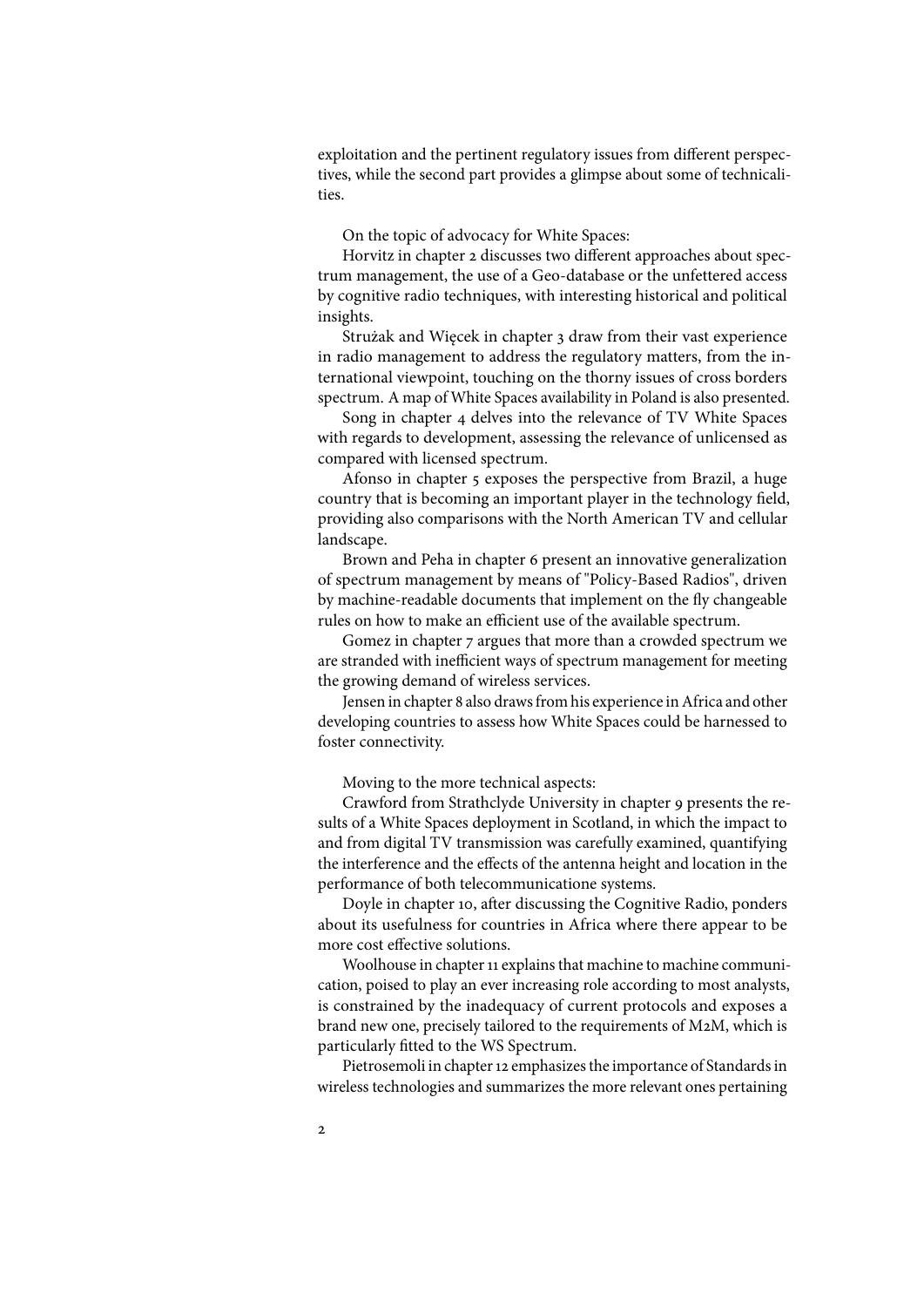exploitation and the pertinent regulatory issues from different perspectives, while the second part provides a glimpse about some of technicalities.

On the topic of advocacy for White Spaces:

Horvitz in chapter 2 discusses two different approaches about spectrum management, the use of a Geo-database or the unfettered access by cognitive radio techniques, with interesting historical and political insights.

Strużak and Więcek in chapter 3 draw from their vast experience in radio management to address the regulatory matters, from the international viewpoint, touching on the thorny issues of cross borders spectrum. A map of White Spaces availability in Poland is also presented.

Song in chapter 4 delves into the relevance of TV White Spaces with regards to development, assessing the relevance of unlicensed as compared with licensed spectrum.

Afonso in chapter 5 exposes the perspective from Brazil, a huge country that is becoming an important player in the technology field, providing also comparisons with the North American TV and cellular landscape.

Brown and Peha in chapter 6 present an innovative generalization of spectrum management by means of "Policy-Based Radios", driven by machine-readable documents that implement on the fly changeable rules on how to make an efficient use of the available spectrum.

Gomez in chapter 7 argues that more than a crowded spectrum we are stranded with inefficient ways of spectrum management for meeting the growing demand of wireless services.

Jensen in chapter 8 also draws from his experience in Africa and other developing countries to assess how White Spaces could be harnessed to foster connectivity.

Moving to the more technical aspects:

Crawford from Strathclyde University in chapter 9 presents the results of a White Spaces deployment in Scotland, in which the impact to and from digital TV transmission was carefully examined, quantifying the interference and the effects of the antenna height and location in the performance of both telecommunicatione systems.

Doyle in chapter 10, after discussing the Cognitive Radio, ponders about its usefulness for countries in Africa where there appear to be more cost effective solutions.

Woolhouse in chapter 11 explains that machine to machine communication, poised to play an ever increasing role according to most analysts, is constrained by the inadequacy of current protocols and exposes a brand new one, precisely tailored to the requirements of M2M, which is particularly fitted to the WS Spectrum.

Pietrosemoli in chapter 12 emphasizes the importance of Standards in wireless technologies and summarizes the more relevant ones pertaining